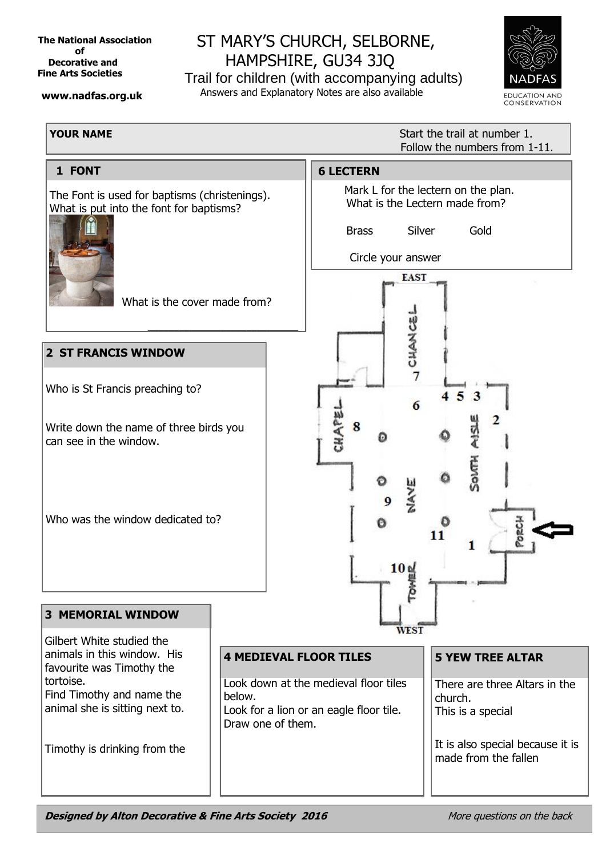**The National Association** *<u>official contracts</u>*  **Decorative and Fine Arts Societies**

 **www.nadfas.org.uk**

# ST MARY'S CHURCH, SELBORNE, HAMPSHIRE, GU34 3JQ

Trail for children (with accompanying adults) Answers and Explanatory Notes are also available



# **YOUR NAME**

**Start the trail at number 1.** Follow the numbers from 1-11.



**Designed by Alton Decorative & Fine Arts Society 2016** More questions on the back